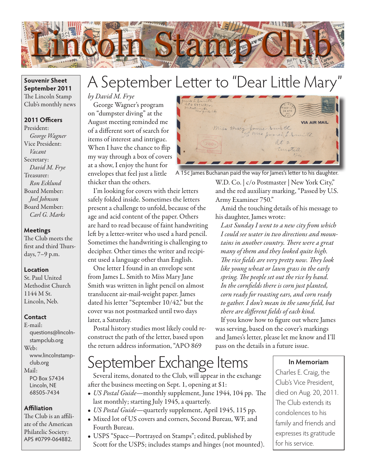

### **Souvenir Sheet September 2011** The Lincoln Stamp Club's monthly news

## **2011 Officers**

President: *George Wagner* Vice President: *Vacant* Secretary: *David M. Frye* Treasurer: *Ron Ecklund* Board Member: *Joel Johnson* Board Member: *Carl G. Marks*

### **Meetings**

The Club meets the first and third Thursdays, 7–9 p.m.

#### **Location**

St. Paul United Methodist Church 1144 M St. Lincoln, Neb.

### **Contact**

E-mail: questions@lincolnstampclub.org Web: www.lincolnstampclub.org Mail: PO Box 57434 Lincoln, NE 68505-7434

### **Affiliation**

The Club is an affiliate of the American Philatelic Society: APS #0799-064882.

# A September Letter to "Dear Little Mary"

## *by David M. Frye*

George Wagner's program on "dumpster diving" at the August meeting reminded me of a different sort of search for items of interest and intrigue. When I have the chance to flip my way through a box of covers at a show, I enjoy the hunt for envelopes that feel just a little thicker than the others.

I'm looking for covers with their letters safely folded inside. Sometimes the letters present a challenge to unfold, because of the age and acid content of the paper. Others are hard to read because of faint handwriting left by a letter-writer who used a hard pencil. Sometimes the handwriting is challenging to decipher. Other times the writer and recipient used a language other than English.

One letter I found in an envelope sent from James L. Smith to Miss Mary Jane Smith was written in light pencil on almost translucent air-mail-weight paper. James dated his letter "September 10/42," but the cover was not postmarked until two days later, a Saturday.

Postal history studies most likely could reconstruct the path of the letter, based upon the return address information, "APO 869



A 15¢ James Buchanan paid the way for James's letter to his daughter.

W.D. Co. | c/o Postmaster | New York City," and the red auxiliary marking, "Passed by U.S. Army Examiner 750."

Amid the touching details of his message to his daughter, James wrote:

*Last Sunday I went to a new city from which I could see water in two directions and mountains in another country. There were a great many of them and they looked quite high. The rice fields are very pretty now. They look like young wheat or lawn grass in the early spring. The people set out the rice by hand. In the cornfields there is corn just planted, corn ready for roasting ears, and corn ready to gather. I don't mean in the same field, but there are different fields of each kind.*

If you know how to figure out where James was serving, based on the cover's markings and James's letter, please let me know and I'll pass on the details in a future issue.

# September Exchange Items

Several items, donated to the Club, will appear in the exchange after the business meeting on Sept. 1, opening at \$1:

- *US Postal Guide*—monthly supplement, June 1944, 104 pp. The last monthly; starting July 1945, a quarterly.
- • *US Postal Guide*—quarterly supplement, April 1945, 115 pp.
- • Mixed lot of US covers and corners, Second Bureau, WF, and Fourth Bureau.
- • USPS "Space—Portrayed on Stamps"; edited, published by Scott for the USPS; includes stamps and hinges (not mounted).

### **In Memoriam**

Charles E. Craig, the Club's Vice President, died on Aug. 20, 2011. The Club extends its condolences to his family and friends and expresses its gratitude for his service.